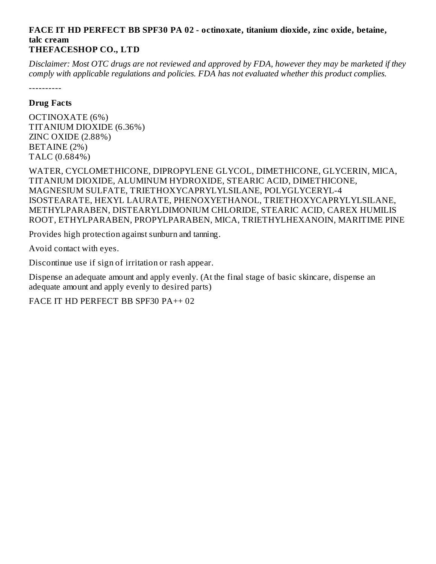#### **FACE IT HD PERFECT BB SPF30 PA 02 - octinoxate, titanium dioxide, zinc oxide, betaine, talc cream THEFACESHOP CO., LTD**

Disclaimer: Most OTC drugs are not reviewed and approved by FDA, however they may be marketed if they *comply with applicable regulations and policies. FDA has not evaluated whether this product complies.*

----------

### **Drug Facts**

OCTINOXATE (6%) TITANIUM DIOXIDE (6.36%) ZINC OXIDE (2.88%) BETAINE (2%) TALC (0.684%)

WATER, CYCLOMETHICONE, DIPROPYLENE GLYCOL, DIMETHICONE, GLYCERIN, MICA, TITANIUM DIOXIDE, ALUMINUM HYDROXIDE, STEARIC ACID, DIMETHICONE, MAGNESIUM SULFATE, TRIETHOXYCAPRYLYLSILANE, POLYGLYCERYL-4 ISOSTEARATE, HEXYL LAURATE, PHENOXYETHANOL, TRIETHOXYCAPRYLYLSILANE, METHYLPARABEN, DISTEARYLDIMONIUM CHLORIDE, STEARIC ACID, CAREX HUMILIS ROOT, ETHYLPARABEN, PROPYLPARABEN, MICA, TRIETHYLHEXANOIN, MARITIME PINE

Provides high protection against sunburn and tanning.

Avoid contact with eyes.

Discontinue use if sign of irritation or rash appear.

Dispense an adequate amount and apply evenly. (At the final stage of basic skincare, dispense an adequate amount and apply evenly to desired parts)

FACE IT HD PERFECT BB SPF30 PA++ 02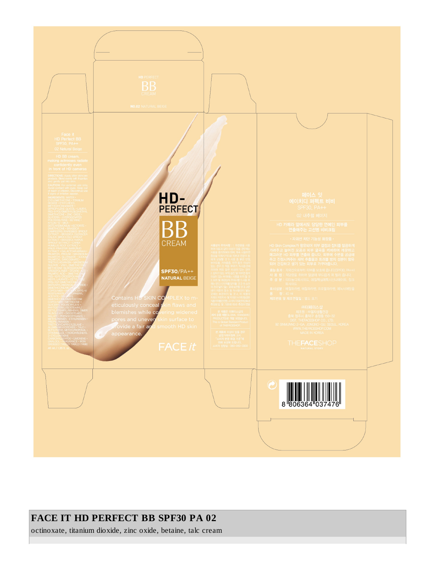

### **FACE IT HD PERFECT BB SPF30 PA 02**

octinoxate, titanium dioxide, zinc oxide, betaine, talc cream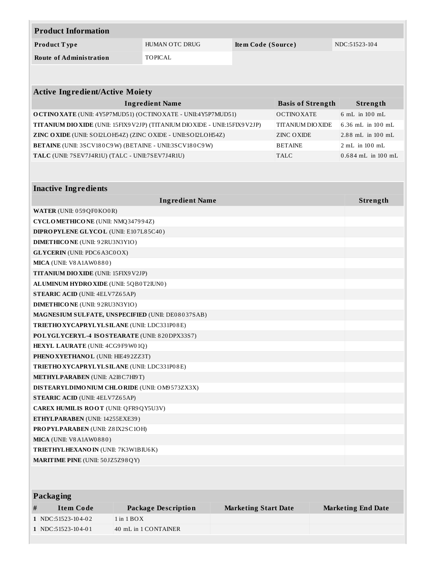| <b>Product Information</b>                                                    |                        |                          |                      |  |  |  |
|-------------------------------------------------------------------------------|------------------------|--------------------------|----------------------|--|--|--|
| Product Type                                                                  | HUMAN OTC DRUG         | Item Code (Source)       | NDC:51523-104        |  |  |  |
| <b>Route of Administration</b>                                                | <b>TOPICAL</b>         |                          |                      |  |  |  |
|                                                                               |                        |                          |                      |  |  |  |
|                                                                               |                        |                          |                      |  |  |  |
| <b>Active Ingredient/Active Moiety</b>                                        |                        |                          |                      |  |  |  |
|                                                                               | <b>Ingredient Name</b> | <b>Basis of Strength</b> | Strength             |  |  |  |
| O CTINO XATE (UNII: 4Y5P7MUD51) (OCTINO XATE - UNII:4Y5P7MUD51)               |                        | <b>OCTINOXATE</b>        | 6 mL in 100 mL       |  |  |  |
| TITANIUM DIO XIDE (UNII: 15FIX9 V2JP) (TITANIUM DIO XIDE - UNII: 15FIX9 V2JP) |                        | <b>TITANIUM DIOXIDE</b>  | 6.36 mL in 100 mL    |  |  |  |
| ZINC OXIDE (UNII: SOI2LOH54Z) (ZINC OXIDE - UNII:SOI2LOH54Z)                  |                        | <b>ZINC OXIDE</b>        | 2.88 mL in 100 mL    |  |  |  |
| BETAINE (UNII: 3SCV180C9W) (BETAINE - UNII:3SCV180C9W)                        |                        | <b>BETAINE</b>           | 2 mL in 100 mL       |  |  |  |
| TALC (UNII: 7SEV7J4R1U) (TALC - UNII:7SEV7J4R1U)                              |                        | <b>TALC</b>              | $0.684$ mL in 100 mL |  |  |  |
|                                                                               |                        |                          |                      |  |  |  |
|                                                                               |                        |                          |                      |  |  |  |
| <b>Inactive Ingredients</b>                                                   |                        |                          |                      |  |  |  |
|                                                                               | <b>Ingredient Name</b> |                          | Strength             |  |  |  |
| WATER (UNII: 059QF0KO0R)                                                      |                        |                          |                      |  |  |  |
| CYCLOMETHICONE (UNII: NMQ347994Z)                                             |                        |                          |                      |  |  |  |
| DIPROPYLENE GLYCOL (UNII: E107L85C40)                                         |                        |                          |                      |  |  |  |
| <b>DIMETHICONE</b> (UNII: 92RU3N3Y1O)                                         |                        |                          |                      |  |  |  |
| <b>GLYCERIN</b> (UNII: PDC6A3C0OX)                                            |                        |                          |                      |  |  |  |
| MICA (UNII: V8A1AW0880)                                                       |                        |                          |                      |  |  |  |
| <b>TITANIUM DIO XIDE (UNII: 15FIX9 V2JP)</b>                                  |                        |                          |                      |  |  |  |
| ALUMINUM HYDRO XIDE (UNII: 5QB0T2IUN0)                                        |                        |                          |                      |  |  |  |
| <b>STEARIC ACID (UNII: 4ELV7Z65AP)</b>                                        |                        |                          |                      |  |  |  |
| <b>DIMETHICONE</b> (UNII: 92RU3N3Y1O)                                         |                        |                          |                      |  |  |  |
| MAGNESIUM SULFATE, UNSPECIFIED (UNII: DE08037SAB)                             |                        |                          |                      |  |  |  |
| TRIETHO XYCAPRYLYLSILANE (UNII: LDC331P08E)                                   |                        |                          |                      |  |  |  |
| POLYGLYCERYL-4 ISOSTEARATE (UNII: 820DPX33S7)                                 |                        |                          |                      |  |  |  |
| HEXYL LAURATE (UNII: 4CG9F9W01Q)                                              |                        |                          |                      |  |  |  |
| PHENO XYETHANOL (UNII: HIE492ZZ3T)                                            |                        |                          |                      |  |  |  |
| TRIETHO XYCAPRYLYLSILANE (UNII: LDC331P08E)                                   |                        |                          |                      |  |  |  |
| <b>METHYLPARABEN</b> (UNII: A218 C7H19T)                                      |                        |                          |                      |  |  |  |
| DISTEARYLDIMONIUM CHLORIDE (UNII: OM9573ZX3X)                                 |                        |                          |                      |  |  |  |
| <b>STEARIC ACID (UNII: 4ELV7Z65AP)</b>                                        |                        |                          |                      |  |  |  |
| CAREX HUMILIS ROOT (UNII: QFR9QY5U3V)                                         |                        |                          |                      |  |  |  |
| ETHYLPARABEN (UNII: 14255EXE39)                                               |                        |                          |                      |  |  |  |
| PROPYLPARABEN (UNII: Z8IX2SC1OH)                                              |                        |                          |                      |  |  |  |
| MICA (UNII: V8A1AW0880)                                                       |                        |                          |                      |  |  |  |
| TRIETHYLHEXANO IN (UNII: 7K3W1BIU6K)                                          |                        |                          |                      |  |  |  |
| <b>MARITIME PINE (UNII: 50JZ5Z98QY)</b>                                       |                        |                          |                      |  |  |  |
|                                                                               |                        |                          |                      |  |  |  |

| <b>Packaging</b> |                      |                      |                             |                           |  |
|------------------|----------------------|----------------------|-----------------------------|---------------------------|--|
| #                | Item Code            | Package Description  | <b>Marketing Start Date</b> | <b>Marketing End Date</b> |  |
|                  | $1$ NDC:51523-104-02 | $1$ in $1$ BOX       |                             |                           |  |
|                  | $1$ NDC:51523-104-01 | 40 mL in 1 CONTAINER |                             |                           |  |